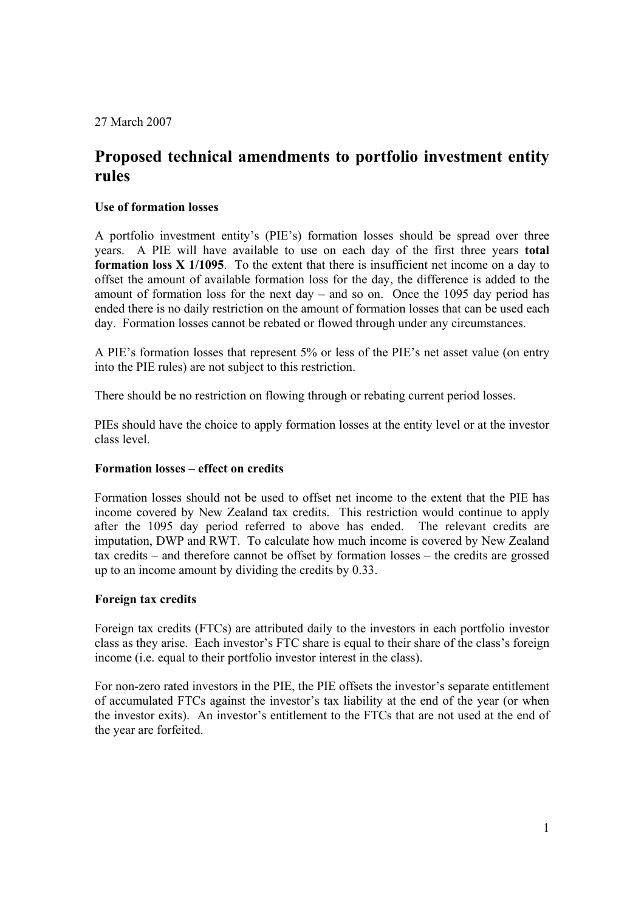27 March 2007

# **Proposed technical amendments to portfolio investment entity rules**

## **Use of formation losses**

A portfolio investment entity's (PIE's) formation losses should be spread over three years. A PIE will have available to use on each day of the first three years **total formation loss X 1/1095**. To the extent that there is insufficient net income on a day to offset the amount of available formation loss for the day, the difference is added to the amount of formation loss for the next day – and so on. Once the 1095 day period has ended there is no daily restriction on the amount of formation losses that can be used each day. Formation losses cannot be rebated or flowed through under any circumstances.

A PIE's formation losses that represent 5% or less of the PIE's net asset value (on entry into the PIE rules) are not subject to this restriction.

There should be no restriction on flowing through or rebating current period losses.

PIEs should have the choice to apply formation losses at the entity level or at the investor class level.

## **Formation losses – effect on credits**

Formation losses should not be used to offset net income to the extent that the PIE has income covered by New Zealand tax credits. This restriction would continue to apply after the 1095 day period referred to above has ended. The relevant credits are imputation, DWP and RWT. To calculate how much income is covered by New Zealand tax credits – and therefore cannot be offset by formation losses – the credits are grossed up to an income amount by dividing the credits by 0.33.

## **Foreign tax credits**

Foreign tax credits (FTCs) are attributed daily to the investors in each portfolio investor class as they arise. Each investor's FTC share is equal to their share of the class's foreign income (i.e. equal to their portfolio investor interest in the class).

For non-zero rated investors in the PIE, the PIE offsets the investor's separate entitlement of accumulated FTCs against the investor's tax liability at the end of the year (or when the investor exits). An investor's entitlement to the FTCs that are not used at the end of the year are forfeited.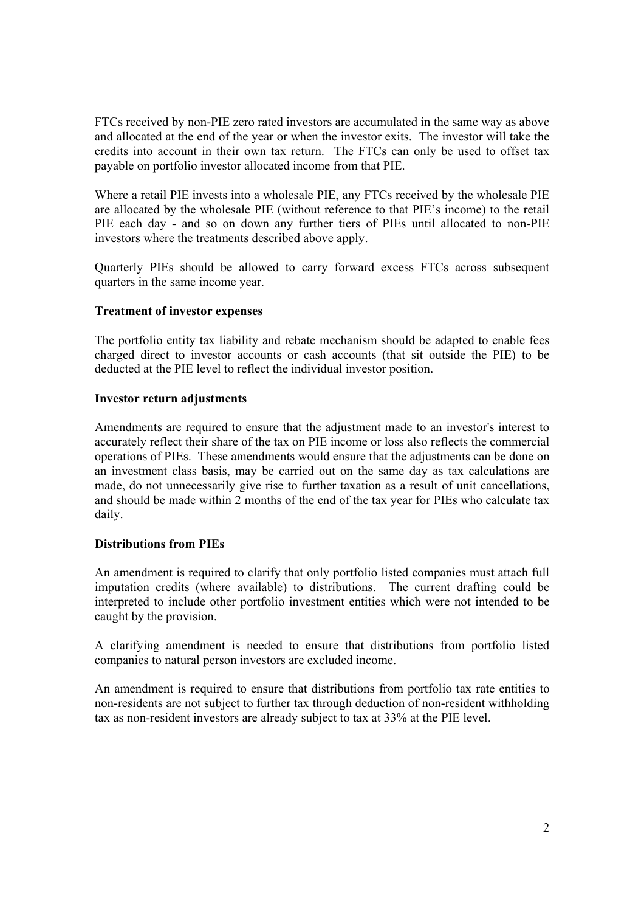FTCs received by non-PIE zero rated investors are accumulated in the same way as above and allocated at the end of the year or when the investor exits. The investor will take the credits into account in their own tax return. The FTCs can only be used to offset tax payable on portfolio investor allocated income from that PIE.

Where a retail PIE invests into a wholesale PIE, any FTCs received by the wholesale PIE are allocated by the wholesale PIE (without reference to that PIE's income) to the retail PIE each day - and so on down any further tiers of PIEs until allocated to non-PIE investors where the treatments described above apply.

Quarterly PIEs should be allowed to carry forward excess FTCs across subsequent quarters in the same income year.

## **Treatment of investor expenses**

The portfolio entity tax liability and rebate mechanism should be adapted to enable fees charged direct to investor accounts or cash accounts (that sit outside the PIE) to be deducted at the PIE level to reflect the individual investor position.

## **Investor return adjustments**

Amendments are required to ensure that the adjustment made to an investor's interest to accurately reflect their share of the tax on PIE income or loss also reflects the commercial operations of PIEs. These amendments would ensure that the adjustments can be done on an investment class basis, may be carried out on the same day as tax calculations are made, do not unnecessarily give rise to further taxation as a result of unit cancellations, and should be made within 2 months of the end of the tax year for PIEs who calculate tax daily.

## **Distributions from PIEs**

An amendment is required to clarify that only portfolio listed companies must attach full imputation credits (where available) to distributions. The current drafting could be interpreted to include other portfolio investment entities which were not intended to be caught by the provision.

A clarifying amendment is needed to ensure that distributions from portfolio listed companies to natural person investors are excluded income.

An amendment is required to ensure that distributions from portfolio tax rate entities to non-residents are not subject to further tax through deduction of non-resident withholding tax as non-resident investors are already subject to tax at 33% at the PIE level.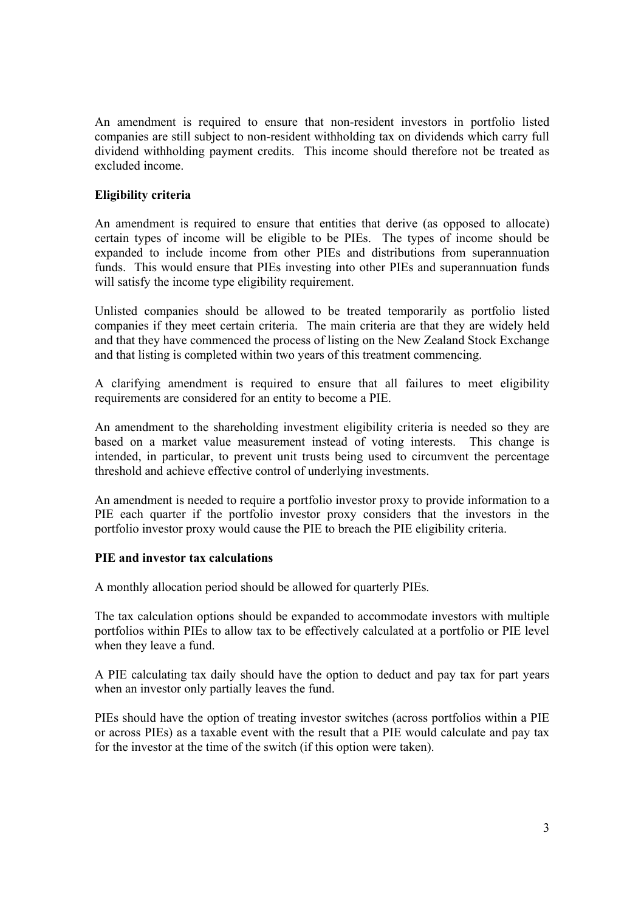An amendment is required to ensure that non-resident investors in portfolio listed companies are still subject to non-resident withholding tax on dividends which carry full dividend withholding payment credits. This income should therefore not be treated as excluded income.

## **Eligibility criteria**

An amendment is required to ensure that entities that derive (as opposed to allocate) certain types of income will be eligible to be PIEs. The types of income should be expanded to include income from other PIEs and distributions from superannuation funds. This would ensure that PIEs investing into other PIEs and superannuation funds will satisfy the income type eligibility requirement.

Unlisted companies should be allowed to be treated temporarily as portfolio listed companies if they meet certain criteria. The main criteria are that they are widely held and that they have commenced the process of listing on the New Zealand Stock Exchange and that listing is completed within two years of this treatment commencing.

A clarifying amendment is required to ensure that all failures to meet eligibility requirements are considered for an entity to become a PIE.

An amendment to the shareholding investment eligibility criteria is needed so they are based on a market value measurement instead of voting interests. This change is intended, in particular, to prevent unit trusts being used to circumvent the percentage threshold and achieve effective control of underlying investments.

An amendment is needed to require a portfolio investor proxy to provide information to a PIE each quarter if the portfolio investor proxy considers that the investors in the portfolio investor proxy would cause the PIE to breach the PIE eligibility criteria.

## **PIE and investor tax calculations**

A monthly allocation period should be allowed for quarterly PIEs.

The tax calculation options should be expanded to accommodate investors with multiple portfolios within PIEs to allow tax to be effectively calculated at a portfolio or PIE level when they leave a fund.

A PIE calculating tax daily should have the option to deduct and pay tax for part years when an investor only partially leaves the fund.

PIEs should have the option of treating investor switches (across portfolios within a PIE or across PIEs) as a taxable event with the result that a PIE would calculate and pay tax for the investor at the time of the switch (if this option were taken).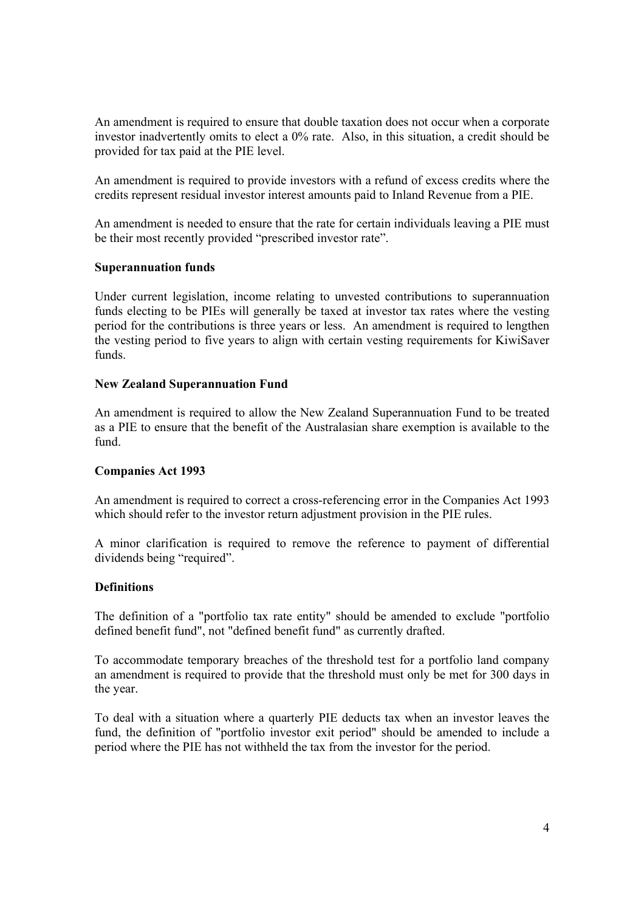An amendment is required to ensure that double taxation does not occur when a corporate investor inadvertently omits to elect a 0% rate. Also, in this situation, a credit should be provided for tax paid at the PIE level.

An amendment is required to provide investors with a refund of excess credits where the credits represent residual investor interest amounts paid to Inland Revenue from a PIE.

An amendment is needed to ensure that the rate for certain individuals leaving a PIE must be their most recently provided "prescribed investor rate".

### **Superannuation funds**

Under current legislation, income relating to unvested contributions to superannuation funds electing to be PIEs will generally be taxed at investor tax rates where the vesting period for the contributions is three years or less. An amendment is required to lengthen the vesting period to five years to align with certain vesting requirements for KiwiSaver funds.

### **New Zealand Superannuation Fund**

An amendment is required to allow the New Zealand Superannuation Fund to be treated as a PIE to ensure that the benefit of the Australasian share exemption is available to the fund.

## **Companies Act 1993**

An amendment is required to correct a cross-referencing error in the Companies Act 1993 which should refer to the investor return adjustment provision in the PIE rules.

A minor clarification is required to remove the reference to payment of differential dividends being "required".

## **Definitions**

The definition of a "portfolio tax rate entity" should be amended to exclude "portfolio defined benefit fund", not "defined benefit fund" as currently drafted.

To accommodate temporary breaches of the threshold test for a portfolio land company an amendment is required to provide that the threshold must only be met for 300 days in the year.

To deal with a situation where a quarterly PIE deducts tax when an investor leaves the fund, the definition of "portfolio investor exit period" should be amended to include a period where the PIE has not withheld the tax from the investor for the period.